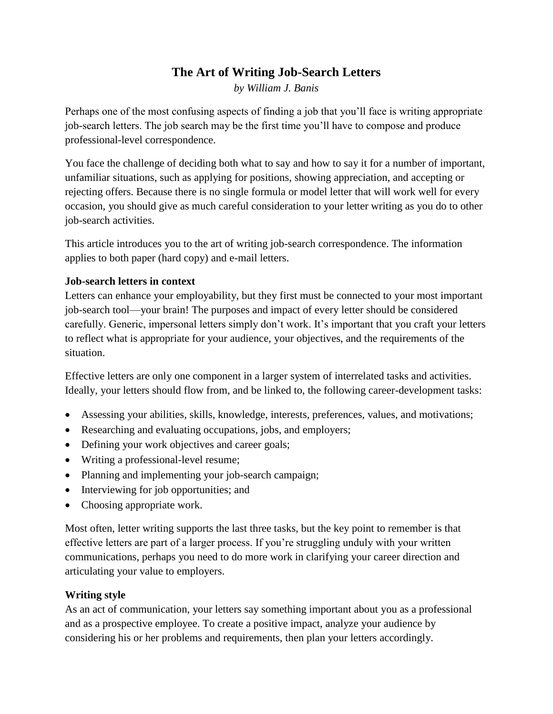# **The Art of Writing Job-Search Letters**

*by William J. Banis*

Perhaps one of the most confusing aspects of finding a job that you'll face is writing appropriate job-search letters. The job search may be the first time you'll have to compose and produce professional-level correspondence.

You face the challenge of deciding both what to say and how to say it for a number of important, unfamiliar situations, such as applying for positions, showing appreciation, and accepting or rejecting offers. Because there is no single formula or model letter that will work well for every occasion, you should give as much careful consideration to your letter writing as you do to other job-search activities.

This article introduces you to the art of writing job-search correspondence. The information applies to both paper (hard copy) and e-mail letters.

#### **Job-search letters in context**

Letters can enhance your employability, but they first must be connected to your most important job-search tool—your brain! The purposes and impact of every letter should be considered carefully. Generic, impersonal letters simply don't work. It's important that you craft your letters to reflect what is appropriate for your audience, your objectives, and the requirements of the situation.

Effective letters are only one component in a larger system of interrelated tasks and activities. Ideally, your letters should flow from, and be linked to, the following career-development tasks:

- Assessing your abilities, skills, knowledge, interests, preferences, values, and motivations;
- Researching and evaluating occupations, jobs, and employers;
- Defining your work objectives and career goals;
- Writing a professional-level resume;
- Planning and implementing your job-search campaign;
- Interviewing for job opportunities; and
- Choosing appropriate work.

Most often, letter writing supports the last three tasks, but the key point to remember is that effective letters are part of a larger process. If you're struggling unduly with your written communications, perhaps you need to do more work in clarifying your career direction and articulating your value to employers.

## **Writing style**

As an act of communication, your letters say something important about you as a professional and as a prospective employee. To create a positive impact, analyze your audience by considering his or her problems and requirements, then plan your letters accordingly.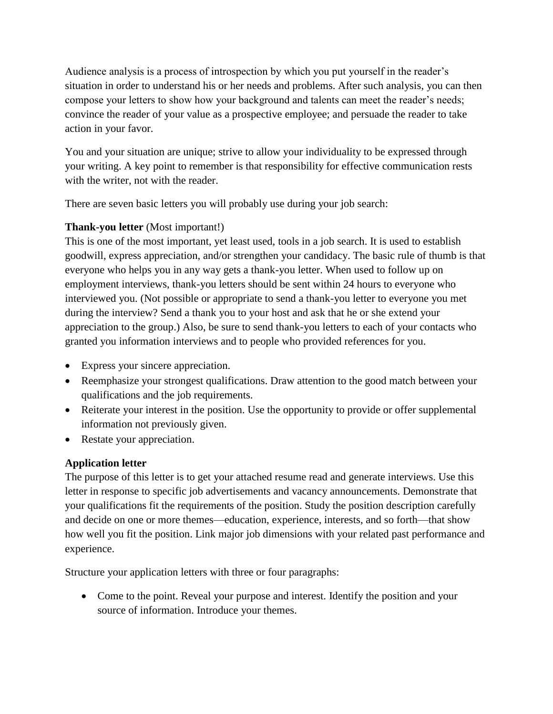Audience analysis is a process of introspection by which you put yourself in the reader's situation in order to understand his or her needs and problems. After such analysis, you can then compose your letters to show how your background and talents can meet the reader's needs; convince the reader of your value as a prospective employee; and persuade the reader to take action in your favor.

You and your situation are unique; strive to allow your individuality to be expressed through your writing. A key point to remember is that responsibility for effective communication rests with the writer, not with the reader.

There are seven basic letters you will probably use during your job search:

## **[Thank-you letter](https://www.naceweb.org/gg/samples/thank-you-letter.aspx)** (Most important!)

This is one of the most important, yet least used, tools in a job search. It is used to establish goodwill, express appreciation, and/or strengthen your candidacy. The basic rule of thumb is that everyone who helps you in any way gets a thank-you letter. When used to follow up on employment interviews, thank-you letters should be sent within 24 hours to everyone who interviewed you. (Not possible or appropriate to send a thank-you letter to everyone you met during the interview? Send a thank you to your host and ask that he or she extend your appreciation to the group.) Also, be sure to send thank-you letters to each of your contacts who granted you information interviews and to people who provided references for you.

- Express your sincere appreciation.
- Reemphasize your strongest qualifications. Draw attention to the good match between your qualifications and the job requirements.
- Reiterate your interest in the position. Use the opportunity to provide or offer supplemental information not previously given.
- Restate your appreciation.

## **[Application letter](https://www.naceweb.org/gg/samples/application-letter.aspx)**

The purpose of this letter is to get your attached resume read and generate interviews. Use this letter in response to specific job advertisements and vacancy announcements. Demonstrate that your qualifications fit the requirements of the position. Study the position description carefully and decide on one or more themes—education, experience, interests, and so forth—that show how well you fit the position. Link major job dimensions with your related past performance and experience.

Structure your application letters with three or four paragraphs:

 Come to the point. Reveal your purpose and interest. Identify the position and your source of information. Introduce your themes.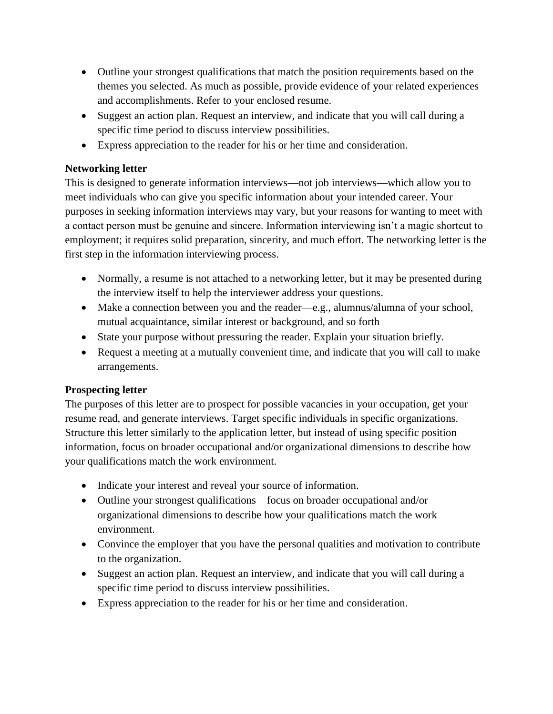- Outline your strongest qualifications that match the position requirements based on the themes you selected. As much as possible, provide evidence of your related experiences and accomplishments. Refer to your enclosed resume.
- Suggest an action plan. Request an interview, and indicate that you will call during a specific time period to discuss interview possibilities.
- Express appreciation to the reader for his or her time and consideration.

## **[Networking letter](https://www.naceweb.org/gg/samples/networking-letter.aspx)**

This is designed to generate information interviews—not job interviews—which allow you to meet individuals who can give you specific information about your intended career. Your purposes in seeking information interviews may vary, but your reasons for wanting to meet with a contact person must be genuine and sincere. Information interviewing isn't a magic shortcut to employment; it requires solid preparation, sincerity, and much effort. The networking letter is the first step in the information interviewing process.

- Normally, a resume is not attached to a networking letter, but it may be presented during the interview itself to help the interviewer address your questions.
- Make a connection between you and the reader—e.g., alumnus/alumna of your school, mutual acquaintance, similar interest or background, and so forth
- State your purpose without pressuring the reader. Explain your situation briefly.
- Request a meeting at a mutually convenient time, and indicate that you will call to make arrangements.

## **[Prospecting letter](https://www.naceweb.org/gg/samples/prospecting-letter.aspx)**

The purposes of this letter are to prospect for possible vacancies in your occupation, get your resume read, and generate interviews. Target specific individuals in specific organizations. Structure this letter similarly to the application letter, but instead of using specific position information, focus on broader occupational and/or organizational dimensions to describe how your qualifications match the work environment.

- Indicate your interest and reveal your source of information.
- Outline your strongest qualifications—focus on broader occupational and/or organizational dimensions to describe how your qualifications match the work environment.
- Convince the employer that you have the personal qualities and motivation to contribute to the organization.
- Suggest an action plan. Request an interview, and indicate that you will call during a specific time period to discuss interview possibilities.
- Express appreciation to the reader for his or her time and consideration.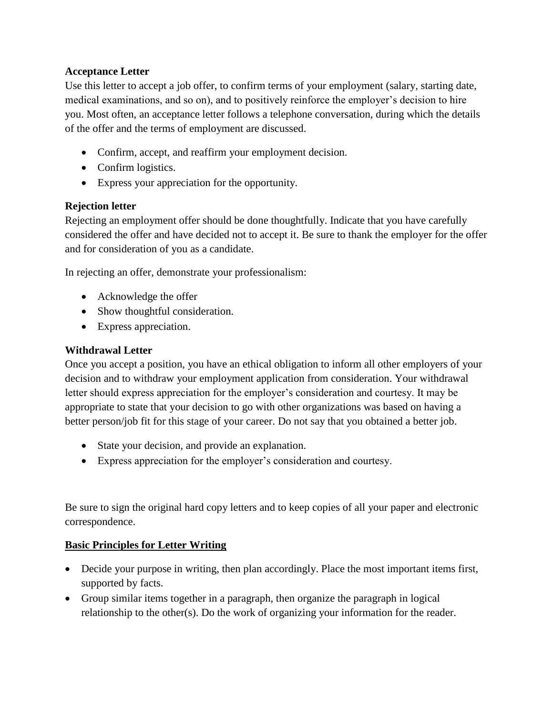#### **[Acceptance Letter](https://www.naceweb.org/gg/samples/acceptance-letter.aspx)**

Use this letter to accept a job offer, to confirm terms of your employment (salary, starting date, medical examinations, and so on), and to positively reinforce the employer's decision to hire you. Most often, an acceptance letter follows a telephone conversation, during which the details of the offer and the terms of employment are discussed.

- Confirm, accept, and reaffirm your employment decision.
- Confirm logistics.
- Express your appreciation for the opportunity.

#### **[Rejection letter](https://www.naceweb.org/gg/samples/rejection-letter.aspx)**

Rejecting an employment offer should be done thoughtfully. Indicate that you have carefully considered the offer and have decided not to accept it. Be sure to thank the employer for the offer and for consideration of you as a candidate.

In rejecting an offer, demonstrate your professionalism:

- Acknowledge the offer
- Show thoughtful consideration.
- Express appreciation.

#### **[Withdrawal Letter](https://www.naceweb.org/gg/samples/withdraw-letter.aspx)**

Once you accept a position, you have an ethical obligation to inform all other employers of your decision and to withdraw your employment application from consideration. Your withdrawal letter should express appreciation for the employer's consideration and courtesy. It may be appropriate to state that your decision to go with other organizations was based on having a better person/job fit for this stage of your career. Do not say that you obtained a better job.

- State your decision, and provide an explanation.
- Express appreciation for the employer's consideration and courtesy.

Be sure to sign the original hard copy letters and to keep copies of all your paper and electronic correspondence.

#### **Basic Principles for Letter Writing**

- Decide your purpose in writing, then plan accordingly. Place the most important items first, supported by facts.
- Group similar items together in a paragraph, then organize the paragraph in logical relationship to the other(s). Do the work of organizing your information for the reader.